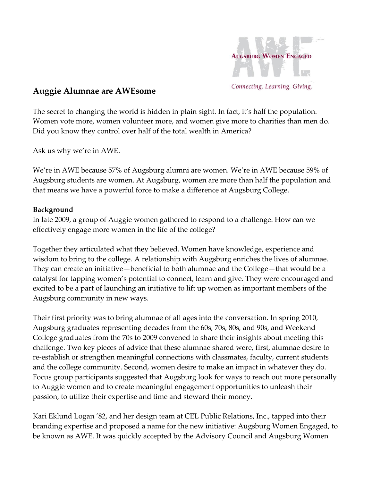

## **Auggie Alumnae are AWEsome**

The secret to changing the world is hidden in plain sight. In fact, it's half the population. Women vote more, women volunteer more, and women give more to charities than men do. Did you know they control over half of the total wealth in America?

Ask us why we're in AWE.

We're in AWE because 57% of Augsburg alumni are women. We're in AWE because 59% of Augsburg students are women. At Augsburg, women are more than half the population and that means we have a powerful force to make a difference at Augsburg College.

## **Background**

In late 2009, a group of Auggie women gathered to respond to a challenge. How can we effectively engage more women in the life of the college?

Together they articulated what they believed. Women have knowledge, experience and wisdom to bring to the college. A relationship with Augsburg enriches the lives of alumnae. They can create an initiative—beneficial to both alumnae and the College—that would be a catalyst for tapping women's potential to connect, learn and give. They were encouraged and excited to be a part of launching an initiative to lift up women as important members of the Augsburg community in new ways.

Their first priority was to bring alumnae of all ages into the conversation. In spring 2010, Augsburg graduates representing decades from the 60s, 70s, 80s, and 90s, and Weekend College graduates from the 70s to 2009 convened to share their insights about meeting this challenge. Two key pieces of advice that these alumnae shared were, first, alumnae desire to re-establish or strengthen meaningful connections with classmates, faculty, current students and the college community. Second, women desire to make an impact in whatever they do. Focus group participants suggested that Augsburg look for ways to reach out more personally to Auggie women and to create meaningful engagement opportunities to unleash their passion, to utilize their expertise and time and steward their money.

Kari Eklund Logan '82, and her design team at CEL Public Relations, Inc., tapped into their branding expertise and proposed a name for the new initiative: Augsburg Women Engaged, to be known as AWE. It was quickly accepted by the Advisory Council and Augsburg Women